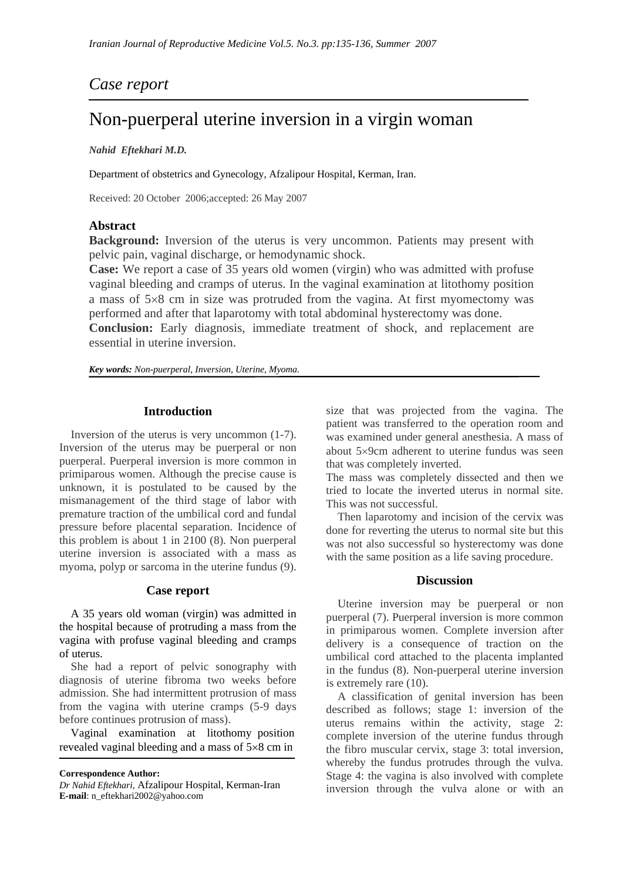## *Case report*

# Non-puerperal uterine inversion in a virgin woman

### *Nahid Eftekhari M.D.*

Department of obstetrics and Gynecology, Afzalipour Hospital, Kerman, Iran.

Received: 20 October 2006;accepted: 26 May 2007

### **Abstract**

**Background:** Inversion of the uterus is very uncommon. Patients may present with pelvic pain, vaginal discharge, or hemodynamic shock.

**Case:** We report a case of 35 years old women (virgin) who was admitted with profuse vaginal bleeding and cramps of uterus. In the vaginal examination at litothomy position a mass of 5×8 cm in size was protruded from the vagina. At first myomectomy was performed and after that laparotomy with total abdominal hysterectomy was done.

**Conclusion:** Early diagnosis, immediate treatment of shock, and replacement are essential in uterine inversion.

*Key words: Non-puerperal, Inversion, Uterine, Myoma.* 

### **Introduction**

 Inversion of the uterus is very uncommon (1-7). Inversion of the uterus may be puerperal or non puerperal. Puerperal inversion is more common in primiparous women. Although the precise cause is unknown, it is postulated to be caused by the mismanagement of the third stage of labor with premature traction of the umbilical cord and fundal pressure before placental separation. Incidence of this problem is about 1 in 2100 (8). Non puerperal uterine inversion is associated with a mass as myoma, polyp or sarcoma in the uterine fundus (9).

### **Case report**

 A 35 years old woman (virgin) was admitted in the hospital because of protruding a mass from the vagina with profuse vaginal bleeding and cramps of uterus.

 She had a report of pelvic sonography with diagnosis of uterine fibroma two weeks before admission. She had intermittent protrusion of mass from the vagina with uterine cramps (5-9 days before continues protrusion of mass).

 Vaginal examination at litothomy position revealed vaginal bleeding and a mass of 5×8 cm in

**Correspondence Author:** 

*Dr Nahid Eftekhari,* Afzalipour Hospital, Kerman-Iran **E-mail**: n\_eftekhari2002@yahoo.com

size that was projected from the vagina. The patient was transferred to the operation room and was examined under general anesthesia. A mass of about 5×9cm adherent to uterine fundus was seen that was completely inverted.

The mass was completely dissected and then we tried to locate the inverted uterus in normal site. This was not successful.

 Then laparotomy and incision of the cervix was done for reverting the uterus to normal site but this was not also successful so hysterectomy was done with the same position as a life saving procedure.

### **Discussion**

 Uterine inversion may be puerperal or non puerperal (7). Puerperal inversion is more common in primiparous women. Complete inversion after delivery is a consequence of traction on the umbilical cord attached to the placenta implanted in the fundus (8). Non-puerperal uterine inversion is extremely rare (10).

 A classification of genital inversion has been described as follows; stage 1: inversion of the uterus remains within the activity, stage 2: complete inversion of the uterine fundus through the fibro muscular cervix, stage 3: total inversion, whereby the fundus protrudes through the vulva. Stage 4: the vagina is also involved with complete inversion through the vulva alone or with an